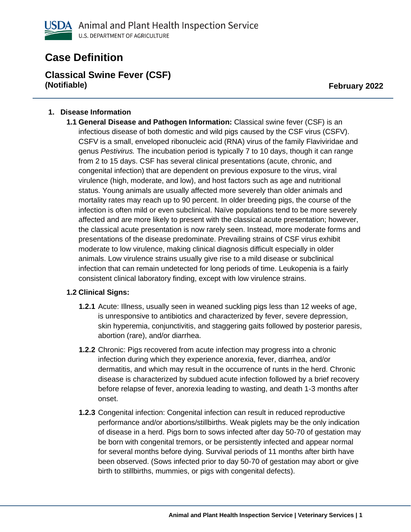

# **Case Definition**

**Classical Swine Fever (CSF) (Notifiable) February 2022**

#### **1. Disease Information**

**1.1 General Disease and Pathogen Information:** Classical swine fever (CSF) is an infectious disease of both domestic and wild pigs caused by the CSF virus (CSFV). CSFV is a small, enveloped ribonucleic acid (RNA) virus of the family Flaviviridae and genus *Pestivirus.* The incubation period is typically 7 to 10 days, though it can range from 2 to 15 days. CSF has several clinical presentations (acute, chronic, and congenital infection) that are dependent on previous exposure to the virus, viral virulence (high, moderate, and low), and host factors such as age and nutritional status. Young animals are usually affected more severely than older animals and mortality rates may reach up to 90 percent. In older breeding pigs, the course of the infection is often mild or even subclinical. Naïve populations tend to be more severely affected and are more likely to present with the classical acute presentation; however, the classical acute presentation is now rarely seen. Instead, more moderate forms and presentations of the disease predominate. Prevailing strains of CSF virus exhibit moderate to low virulence, making clinical diagnosis difficult especially in older animals. Low virulence strains usually give rise to a mild disease or subclinical infection that can remain undetected for long periods of time. Leukopenia is a fairly consistent clinical laboratory finding, except with low virulence strains.

# **1.2 Clinical Signs:**

- **1.2.1** Acute: Illness, usually seen in weaned suckling pigs less than 12 weeks of age, is unresponsive to antibiotics and characterized by fever, severe depression, skin hyperemia, conjunctivitis, and staggering gaits followed by posterior paresis, abortion (rare), and/or diarrhea.
- **1.2.2** Chronic: Pigs recovered from acute infection may progress into a chronic infection during which they experience anorexia, fever, diarrhea, and/or dermatitis, and which may result in the occurrence of runts in the herd. Chronic disease is characterized by subdued acute infection followed by a brief recovery before relapse of fever, anorexia leading to wasting, and death 1-3 months after onset.
- **1.2.3** Congenital infection: Congenital infection can result in reduced reproductive performance and/or abortions/stillbirths. Weak piglets may be the only indication of disease in a herd. Pigs born to sows infected after day 50-70 of gestation may be born with congenital tremors, or be persistently infected and appear normal for several months before dying. Survival periods of 11 months after birth have been observed. (Sows infected prior to day 50-70 of gestation may abort or give birth to stillbirths, mummies, or pigs with congenital defects).